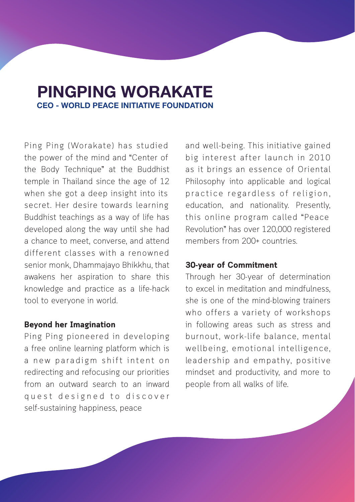# PINGPING WORAKATE CEO - WORLD PEACE INITIATIVE FOUNDATION

Ping Ping (Worakate) has studied the power of the mind and "Center of the Body Technique" at the Buddhist temple in Thailand since the age of 12 when she got a deep insight into its secret. Her desire towards learning Buddhist teachings as a way of life has developed along the way until she had a chance to meet, converse, and attend different classes with a renowned senior monk, Dhammajayo Bhikkhu, that awakens her aspiration to share this knowledge and practice as a life-hack tool to everyone in world.

## **Beyond her Imagination**

Ping Ping pioneered in developing a free online learning platform which is a new paradigm shift intent on redirecting and refocusing our priorities from an outward search to an inward quest designed to discover self-sustaining happiness, peace

and well-being. This initiative gained big interest after launch in 2010 as it brings an essence of Oriental Philosophy into applicable and logical practice regardless of religion, education, and nationality. Presently, this online program called "Peace Revolution" has over 120,000 registered members from 200+ countries.

### **30-year of Commitment**

Through her 30-year of determination to excel in meditation and mindfulness, she is one of the mind-blowing trainers who offers a variety of workshops in following areas such as stress and burnout, work-life balance, mental wellbeing, emotional intelligence, leadership and empathy, positive mindset and productivity, and more to people from all walks of life.